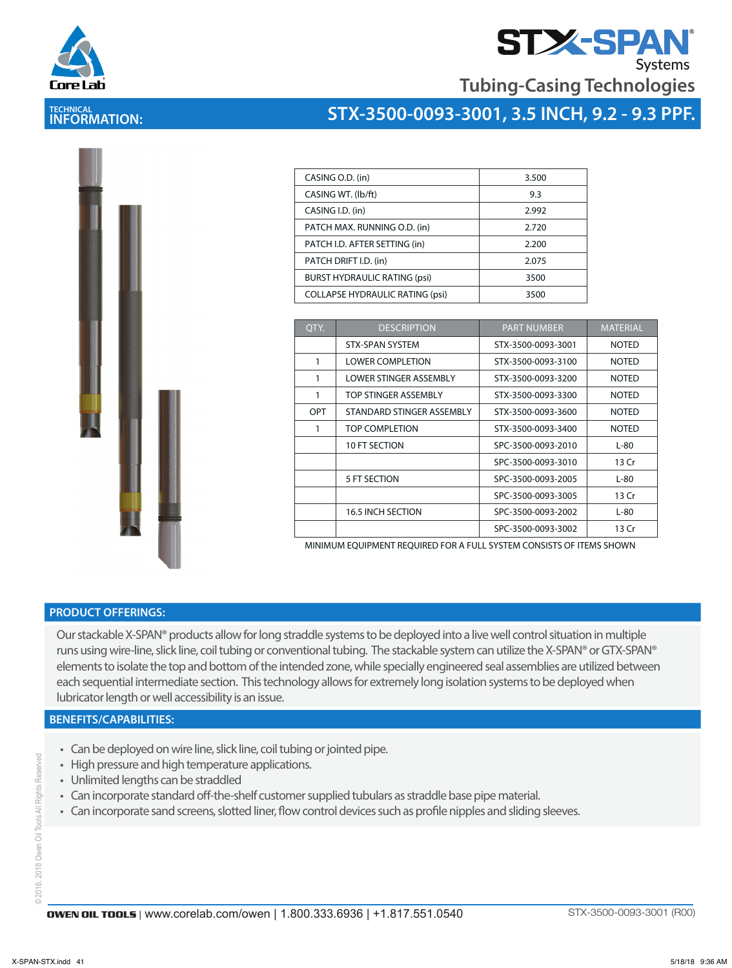



**Tubing-Casing Technologies**

### **TECHNICAL INFORMATION:**



| CASING O.D. (in)                       | 3.500 |
|----------------------------------------|-------|
| CASING WT. (lb/ft)                     | 9.3   |
| CASING I.D. (in)                       | 2.992 |
| PATCH MAX. RUNNING O.D. (in)           | 2.720 |
| PATCH I.D. AFTER SETTING (in)          | 2.200 |
| PATCH DRIFT I.D. (in)                  | 2.075 |
| <b>BURST HYDRAULIC RATING (psi)</b>    | 3500  |
| <b>COLLAPSE HYDRAULIC RATING (psi)</b> | 3500  |

| OTY. | <b>DESCRIPTION</b>        | <b>PART NUMBER</b> | <b>MATERIAL</b> |
|------|---------------------------|--------------------|-----------------|
|      | <b>STX-SPAN SYSTEM</b>    | STX-3500-0093-3001 | <b>NOTED</b>    |
|      | <b>LOWER COMPLETION</b>   | STX-3500-0093-3100 | <b>NOTED</b>    |
| 1    | LOWER STINGER ASSEMBLY    | STX-3500-0093-3200 | <b>NOTED</b>    |
| 1    | TOP STINGER ASSEMBLY      | STX-3500-0093-3300 | <b>NOTED</b>    |
| OPT  | STANDARD STINGER ASSEMBLY | STX-3500-0093-3600 | <b>NOTED</b>    |
|      | TOP COMPLETION            | STX-3500-0093-3400 | <b>NOTED</b>    |
|      | <b>10 FT SECTION</b>      | SPC-3500-0093-2010 | L-80            |
|      |                           | SPC-3500-0093-3010 | 13 Cr           |
|      | 5 FT SECTION              | SPC-3500-0093-2005 | $L-80$          |
|      |                           | SPC-3500-0093-3005 | 13 Cr           |
|      | <b>16.5 INCH SECTION</b>  | SPC-3500-0093-2002 | $L-80$          |
|      |                           | SPC-3500-0093-3002 | 13 Cr           |

MINIMUM EQUIPMENT REQUIRED FOR A FULL SYSTEM CONSISTS OF ITEMS SHOWN

#### **PRODUCT OFFERINGS:**

Our stackable X-SPAN® products allow for long straddle systems to be deployed into a live well control situation in multiple runs using wire-line, slick line, coil tubing or conventional tubing. The stackable system can utilize the X-SPAN® or GTX-SPAN® elements to isolate the top and bottom of the intended zone, while specially engineered seal assemblies are utilized between each sequential intermediate section. This technology allows for extremely long isolation systems to be deployed when lubricator length or well accessibility is an issue.

#### **BENEFITS/CAPABILITIES:**

- Can be deployed on wire line, slick line, coil tubing or jointed pipe.
- High pressure and high temperature applications.
- Unlimited lengths can be straddled
- Can incorporate standard off-the-shelf customer supplied tubulars as straddle base pipe material.
- Can incorporate sand screens, slotted liner, flow control devices such as profile nipples and sliding sleeves.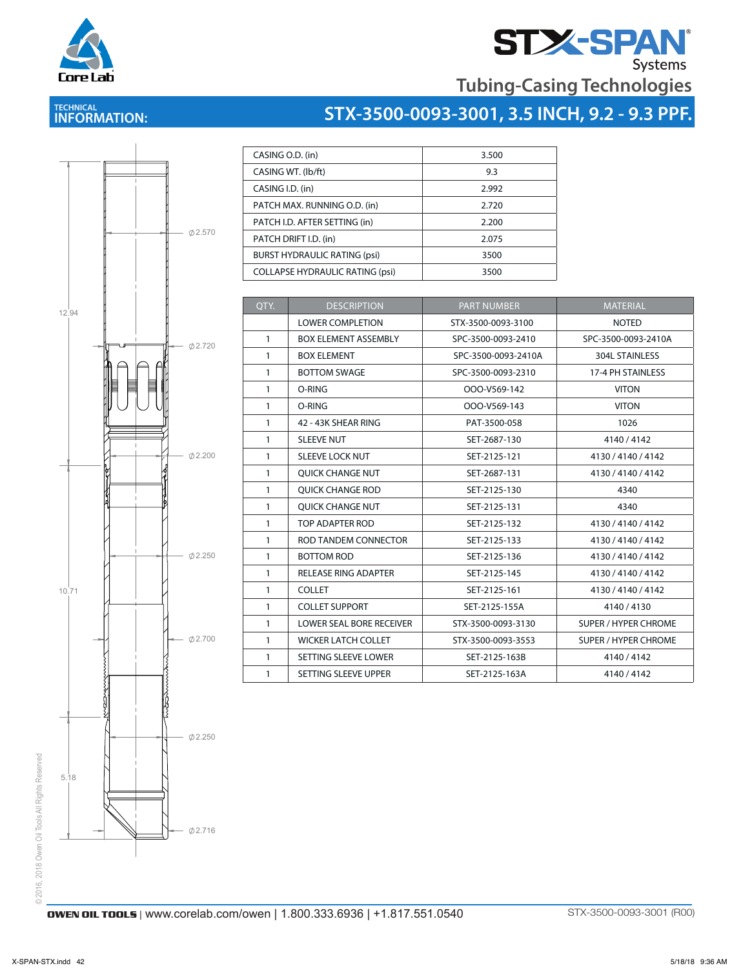



### **TECHNICAL INFORMATION:**

# **STX-3500-0093-3001, 3.5 INCH, 9.2 - 9.3 PPF.**



| CASING O.D. (in)                       | 3.500 |
|----------------------------------------|-------|
| CASING WT. (lb/ft)                     | 9.3   |
| CASING I.D. (in)                       | 2.992 |
| PATCH MAX. RUNNING O.D. (in)           | 2.720 |
| PATCH I.D. AFTER SETTING (in)          | 2.200 |
| PATCH DRIFT I.D. (in)                  | 2.075 |
| <b>BURST HYDRAULIC RATING (psi)</b>    | 3500  |
| <b>COLLAPSE HYDRAULIC RATING (psi)</b> | 3500  |

| OTY.         | <b>DESCRIPTION</b>              | <b>PART NUMBER</b>  | <b>MATERIAL</b>             |
|--------------|---------------------------------|---------------------|-----------------------------|
|              | <b>LOWER COMPLETION</b>         | STX-3500-0093-3100  | <b>NOTED</b>                |
| $\mathbf{1}$ | <b>BOX ELEMENT ASSEMBLY</b>     | SPC-3500-0093-2410  | SPC-3500-0093-2410A         |
| 1            | <b>BOX ELEMENT</b>              | SPC-3500-0093-2410A | 304L STAINLESS              |
| $\mathbf{1}$ | <b>BOTTOM SWAGE</b>             | SPC-3500-0093-2310  | 17-4 PH STAINLESS           |
| $\mathbf{1}$ | O-RING                          | OOO-V569-142        | <b>VITON</b>                |
| $\mathbf{1}$ | O-RING                          | OOO-V569-143        | <b>VITON</b>                |
| $\mathbf{1}$ | 42 - 43K SHEAR RING             | PAT-3500-058        | 1026                        |
| $\mathbf{1}$ | <b>SLEEVE NUT</b>               | SET-2687-130        | 4140/4142                   |
| $\mathbf{1}$ | <b>SLEEVE LOCK NUT</b>          | SET-2125-121        | 4130 / 4140 / 4142          |
| $\mathbf{1}$ | <b>OUICK CHANGE NUT</b>         | SET-2687-131        | 4130 / 4140 / 4142          |
| $\mathbf{1}$ | <b>OUICK CHANGE ROD</b>         | SET-2125-130        | 4340                        |
| $\mathbf{1}$ | <b>OUICK CHANGE NUT</b>         | SET-2125-131        | 4340                        |
| $\mathbf{1}$ | TOP ADAPTER ROD                 | SET-2125-132        | 4130 / 4140 / 4142          |
| $\mathbf{1}$ | ROD TANDEM CONNECTOR            | SET-2125-133        | 4130 / 4140 / 4142          |
| $\mathbf{1}$ | <b>BOTTOM ROD</b>               | SET-2125-136        | 4130 / 4140 / 4142          |
| $\mathbf{1}$ | <b>RELEASE RING ADAPTER</b>     | SET-2125-145        | 4130 / 4140 / 4142          |
| $\mathbf{1}$ | <b>COLLET</b>                   | SET-2125-161        | 4130 / 4140 / 4142          |
| $\mathbf{1}$ | <b>COLLET SUPPORT</b>           | SET-2125-155A       | 4140/4130                   |
| $\mathbf{1}$ | <b>LOWER SEAL BORE RECEIVER</b> | STX-3500-0093-3130  | <b>SUPER / HYPER CHROME</b> |
| 1            | <b>WICKER LATCH COLLET</b>      | STX-3500-0093-3553  | <b>SUPER / HYPER CHROME</b> |
| $\mathbf{1}$ | SETTING SLEEVE LOWER            | SET-2125-163B       | 4140/4142                   |
| 1            | SETTING SLEEVE UPPER            | SET-2125-163A       | 4140/4142                   |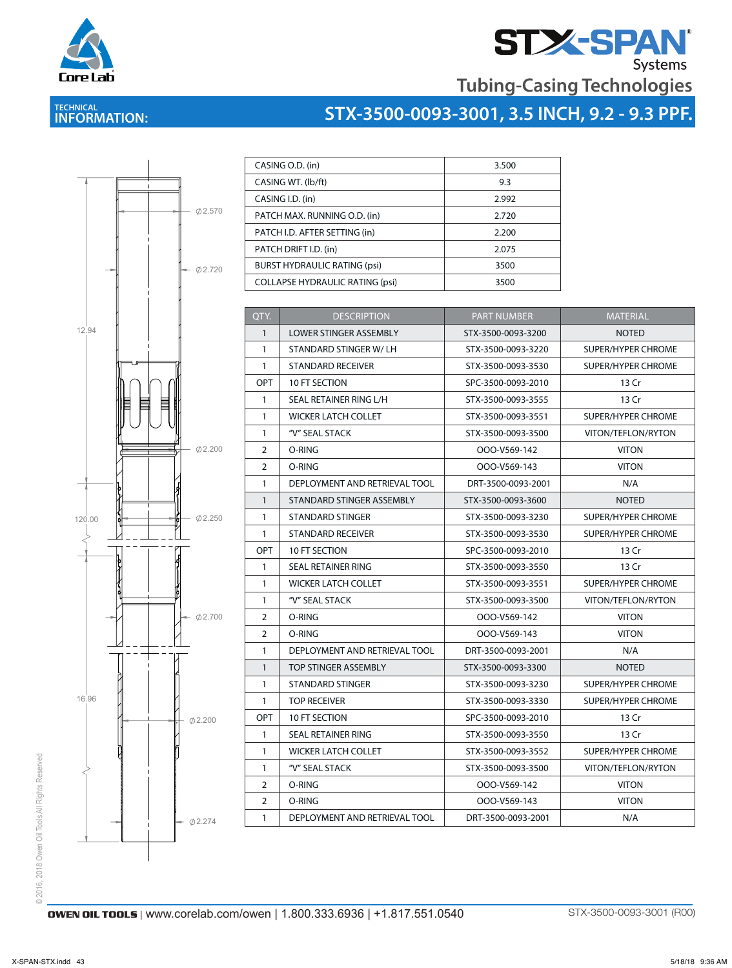

# **STX-SPAN** Systems

**Tubing-Casing Technologies**

## **TECHNICAL INFORMATION:**

## **STX-3500-0093-3001, 3.5 INCH, 9.2 - 9.3 PPF.**



| CASING O.D. (in)                       | 3.500 |
|----------------------------------------|-------|
| CASING WT. (lb/ft)                     | 9.3   |
| CASING I.D. (in)                       | 2.992 |
| PATCH MAX. RUNNING O.D. (in)           | 2.720 |
| PATCH I.D. AFTER SETTING (in)          | 2.200 |
| PATCH DRIFT I.D. (in)                  | 2.075 |
| <b>BURST HYDRAULIC RATING (psi)</b>    | 3500  |
| <b>COLLAPSE HYDRAULIC RATING (psi)</b> | 3500  |
|                                        |       |

| QTY.           | <b>DESCRIPTION</b>            | <b>PART NUMBER</b> | <b>MATERIAL</b>           |
|----------------|-------------------------------|--------------------|---------------------------|
| $\mathbf{1}$   | <b>LOWER STINGER ASSEMBLY</b> | STX-3500-0093-3200 | <b>NOTED</b>              |
| $\mathbf{1}$   | STANDARD STINGER W/LH         | STX-3500-0093-3220 | <b>SUPER/HYPER CHROME</b> |
| $\mathbf{1}$   | <b>STANDARD RECEIVER</b>      | STX-3500-0093-3530 | SUPER/HYPER CHROME        |
| <b>OPT</b>     | 10 FT SECTION                 | SPC-3500-0093-2010 | 13 Cr                     |
| $\mathbf{1}$   | SEAL RETAINER RING L/H        | STX-3500-0093-3555 | 13 Cr                     |
| 1              | <b>WICKER LATCH COLLET</b>    | STX-3500-0093-3551 | SUPER/HYPER CHROME        |
| $\mathbf{1}$   | "V" SEAL STACK                | STX-3500-0093-3500 | VITON/TEFLON/RYTON        |
| 2              | O-RING                        | OOO-V569-142       | <b>VITON</b>              |
| 2              | O-RING                        | OOO-V569-143       | <b>VITON</b>              |
| $\mathbf{1}$   | DEPLOYMENT AND RETRIEVAL TOOL | DRT-3500-0093-2001 | N/A                       |
| $\mathbf{1}$   | STANDARD STINGER ASSEMBLY     | STX-3500-0093-3600 | <b>NOTED</b>              |
| $\mathbf{1}$   | STANDARD STINGER              | STX-3500-0093-3230 | SUPER/HYPER CHROME        |
| $\mathbf{1}$   | <b>STANDARD RECEIVER</b>      | STX-3500-0093-3530 | SUPER/HYPER CHROME        |
| <b>OPT</b>     | 10 FT SECTION                 | SPC-3500-0093-2010 | 13 Cr                     |
| $\mathbf{1}$   | SEAL RETAINER RING            | STX-3500-0093-3550 | 13 Cr                     |
| $\mathbf{1}$   | <b>WICKER LATCH COLLET</b>    | STX-3500-0093-3551 | SUPER/HYPER CHROME        |
| $\mathbf{1}$   | "V" SEAL STACK                | STX-3500-0093-3500 | VITON/TEFLON/RYTON        |
| $\overline{2}$ | O-RING                        | OOO-V569-142       | <b>VITON</b>              |
| $\overline{2}$ | O-RING                        | OOO-V569-143       | <b>VITON</b>              |
| 1              | DEPLOYMENT AND RETRIEVAL TOOL | DRT-3500-0093-2001 | N/A                       |
| $\mathbf{1}$   | <b>TOP STINGER ASSEMBLY</b>   | STX-3500-0093-3300 | <b>NOTED</b>              |
| $\mathbf{1}$   | STANDARD STINGER              | STX-3500-0093-3230 | SUPER/HYPER CHROME        |
| $\mathbf{1}$   | TOP RECEIVER                  | STX-3500-0093-3330 | SUPER/HYPER CHROME        |
| <b>OPT</b>     | 10 FT SECTION                 | SPC-3500-0093-2010 | 13 Cr                     |
| $\mathbf{1}$   | SEAL RETAINER RING            | STX-3500-0093-3550 | 13 Cr                     |
| $\mathbf{1}$   | <b>WICKER LATCH COLLET</b>    | STX-3500-0093-3552 | SUPER/HYPER CHROME        |
| $\mathbf{1}$   | "V" SEAL STACK                | STX-3500-0093-3500 | VITON/TEFLON/RYTON        |
| $\overline{2}$ | O-RING                        | OOO-V569-142       | <b>VITON</b>              |
| 2              | O-RING                        | OOO-V569-143       | <b>VITON</b>              |
| 1              | DEPLOYMENT AND RETRIEVAL TOOL | DRT-3500-0093-2001 | N/A                       |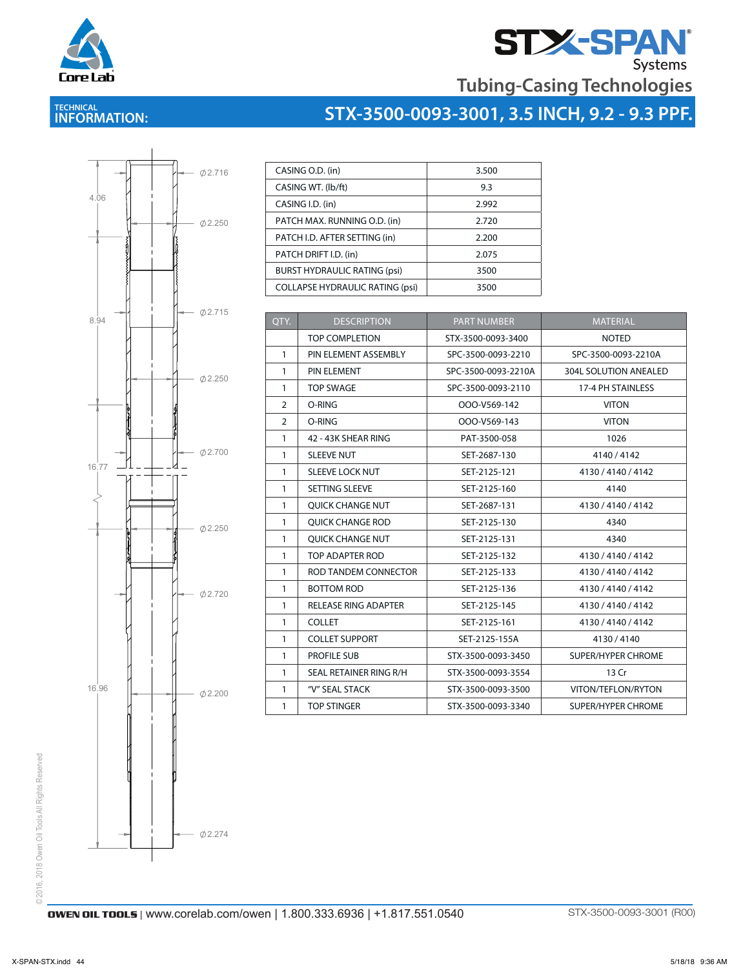



### **TECHNICAL INFORMATION:**

## **STX-3500-0093-3001, 3.5 INCH, 9.2 - 9.3 PPF.**



| CASING O.D. (in)                       | 3.500 |
|----------------------------------------|-------|
| CASING WT. (lb/ft)                     | 9.3   |
| CASING I.D. (in)                       | 2.992 |
| PATCH MAX. RUNNING O.D. (in)           | 2.720 |
| PATCH I.D. AFTER SETTING (in)          | 2.200 |
| PATCH DRIFT I.D. (in)                  | 2.075 |
| <b>BURST HYDRAULIC RATING (psi)</b>    | 3500  |
| <b>COLLAPSE HYDRAULIC RATING (psi)</b> | 3500  |

| OTY.           | <b>DESCRIPTION</b>          | <b>PART NUMBER</b>  | <b>MATERIAL</b>              |
|----------------|-----------------------------|---------------------|------------------------------|
|                | <b>TOP COMPLETION</b>       | STX-3500-0093-3400  | <b>NOTED</b>                 |
| $\mathbf{1}$   | PIN ELEMENT ASSEMBLY        | SPC-3500-0093-2210  | SPC-3500-0093-2210A          |
| $\mathbf{1}$   | PIN ELEMENT                 | SPC-3500-0093-2210A | <b>304L SOLUTION ANEALED</b> |
| $\mathbf{1}$   | <b>TOP SWAGE</b>            | SPC-3500-0093-2110  | 17-4 PH STAINLESS            |
| $\overline{2}$ | O-RING                      | OOO-V569-142        | <b>VITON</b>                 |
| 2              | O-RING                      | OOO-V569-143        | <b>VITON</b>                 |
| $\mathbf{1}$   | 42 - 43K SHEAR RING         | PAT-3500-058        | 1026                         |
| $\mathbf{1}$   | <b>SLEEVE NUT</b>           | SET-2687-130        | 4140/4142                    |
| $\mathbf{1}$   | <b>SLEEVE LOCK NUT</b>      | SET-2125-121        | 4130 / 4140 / 4142           |
| $\mathbf{1}$   | SETTING SLEEVE              | SET-2125-160        | 4140                         |
| $\mathbf{1}$   | <b>OUICK CHANGE NUT</b>     | SET-2687-131        | 4130 / 4140 / 4142           |
| $\mathbf{1}$   | <b>OUICK CHANGE ROD</b>     | SET-2125-130        | 4340                         |
| $\mathbf{1}$   | <b>OUICK CHANGE NUT</b>     | SET-2125-131        | 4340                         |
| $\mathbf{1}$   | TOP ADAPTER ROD             | SET-2125-132        | 4130 / 4140 / 4142           |
| $\mathbf{1}$   | ROD TANDEM CONNECTOR        | SET-2125-133        | 4130 / 4140 / 4142           |
| $\mathbf{1}$   | <b>BOTTOM ROD</b>           | SET-2125-136        | 4130 / 4140 / 4142           |
| $\mathbf{1}$   | <b>RELEASE RING ADAPTER</b> | SET-2125-145        | 4130 / 4140 / 4142           |
| $\mathbf{1}$   | <b>COLLET</b>               | SET-2125-161        | 4130 / 4140 / 4142           |
| $\mathbf{1}$   | <b>COLLET SUPPORT</b>       | SET-2125-155A       | 4130/4140                    |
| $\mathbf{1}$   | <b>PROFILE SUB</b>          | STX-3500-0093-3450  | <b>SUPER/HYPER CHROME</b>    |
| $\mathbf{1}$   | SEAL RETAINER RING R/H      | STX-3500-0093-3554  | 13 Cr                        |
| $\mathbf{1}$   | "V" SEAL STACK              | STX-3500-0093-3500  | VITON/TEFLON/RYTON           |
| $\mathbf{1}$   | <b>TOP STINGER</b>          | STX-3500-0093-3340  | <b>SUPER/HYPER CHROME</b>    |

1 TOP STIMBER STRINGER STATISTICS IN SERVICE STATISTICS IN SUPERFECT STATISTICS IN SERVICE STATISTICS.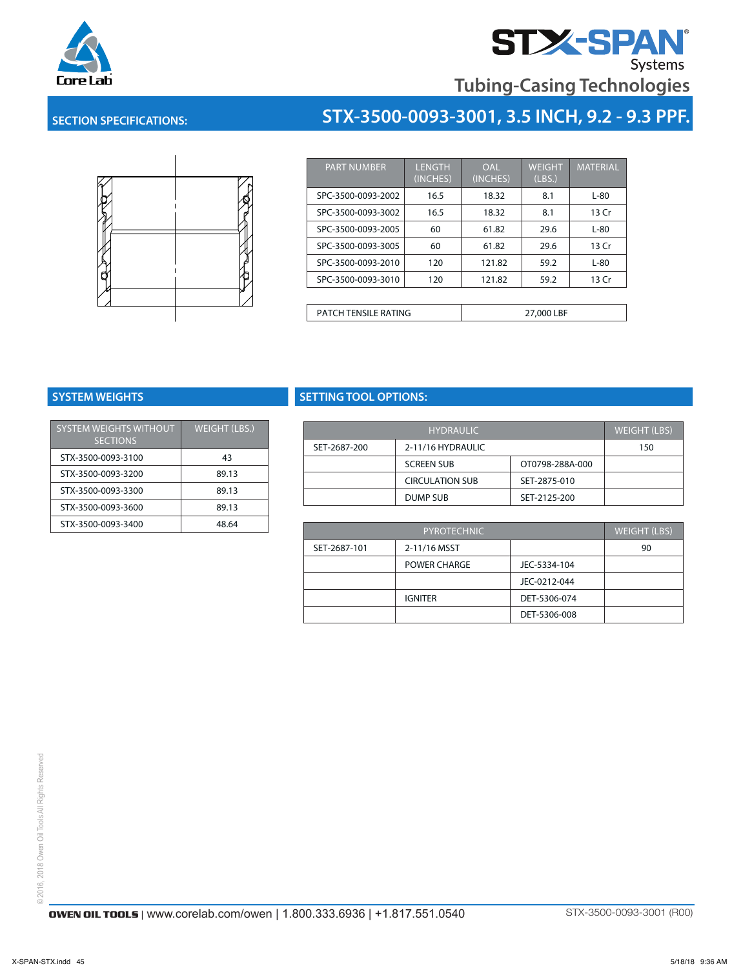



#### **SECTION SPECIFICATIONS:**



| <b>PART NUMBER</b>          | <b>LENGTH</b><br>(INCHES) | <b>OAL</b><br>(INCHES) | <b>WEIGHT</b><br>(LBS.) | <b>MATERIAL</b> |
|-----------------------------|---------------------------|------------------------|-------------------------|-----------------|
| SPC-3500-0093-2002          | 16.5                      | 18.32                  | 8.1                     | $L-80$          |
| SPC-3500-0093-3002          | 16.5                      | 18.32                  | 8.1                     | 13 Cr           |
| SPC-3500-0093-2005          | 60                        | 61.82                  | 29.6                    | $L-80$          |
| SPC-3500-0093-3005          | 60                        | 61.82                  | 29.6                    | 13 Cr           |
| SPC-3500-0093-2010          | 120                       | 121.82                 | 59.2                    | $L-80$          |
| SPC-3500-0093-3010          | 120                       | 121.82                 | 59.2                    | 13 Cr           |
|                             |                           |                        |                         |                 |
| <b>PATCH TENSILE RATING</b> |                           |                        | 27,000 LBF              |                 |

**STX-3500-0093-3001, 3.5 INCH, 9.2 - 9.3 PPF.**

| SYSTEM WEIGHTS WITHOUT | WEIGHT (LBS.) | <b>HYDRAULIC</b> |                        |            |
|------------------------|---------------|------------------|------------------------|------------|
| <b>SECTIONS</b>        |               | SET-2687-200     | 2-11/16 HYDRAULIC      |            |
| STX-3500-0093-3100     | 43            |                  | <b>SCREEN SUB</b>      | OTC        |
| STX-3500-0093-3200     | 89.13         |                  | <b>CIRCULATION SUB</b> | <b>SET</b> |
| STX-3500-0093-3300     | 89.13         |                  |                        |            |
| STX-3500-0093-3600     | 89.13         |                  | DUMP SUB               | <b>SET</b> |
|                        |               |                  |                        |            |
| STX-3500-0093-3400     | 48.64         |                  | PYROTECHNIC            |            |

#### **SYSTEM WEIGHTS SETTING TOOL OPTIONS:**

|              | <b>HYDRAULIC</b>       |                 |     |  |
|--------------|------------------------|-----------------|-----|--|
| SET-2687-200 | 2-11/16 HYDRAULIC      |                 | 150 |  |
|              | <b>SCREEN SUB</b>      | OT0798-288A-000 |     |  |
|              | <b>CIRCULATION SUB</b> | SET-2875-010    |     |  |
|              | DUMP SUB               | SET-2125-200    |     |  |

| 48.64 |              | <b>PYROTECHNIC</b>  |              | <b>WEIGHT (LBS)</b> |
|-------|--------------|---------------------|--------------|---------------------|
|       | SET-2687-101 | 2-11/16 MSST        |              | 90                  |
|       |              | <b>POWER CHARGE</b> | JEC-5334-104 |                     |
|       |              |                     | JEC-0212-044 |                     |
|       |              | <b>IGNITER</b>      | DET-5306-074 |                     |
|       |              |                     | DET-5306-008 |                     |